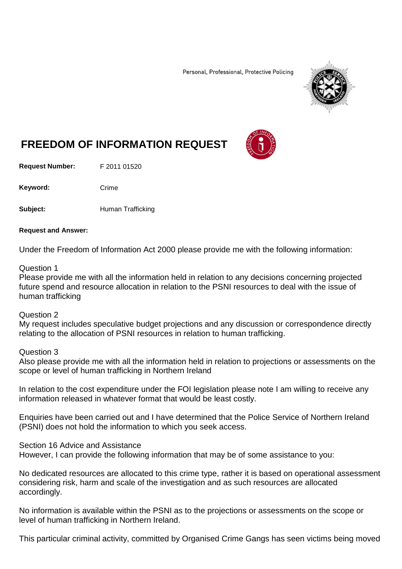Personal, Professional, Protective Policing



## **FREEDOM OF INFORMATION REQUEST**

**Request Number:** F 2011 01520

Keyword: Crime

**Subject:** Human Trafficking

## **Request and Answer:**

Under the Freedom of Information Act 2000 please provide me with the following information:

## Question 1

Please provide me with all the information held in relation to any decisions concerning projected future spend and resource allocation in relation to the PSNI resources to deal with the issue of human trafficking

## Question 2

My request includes speculative budget projections and any discussion or correspondence directly relating to the allocation of PSNI resources in relation to human trafficking.

Question 3

Also please provide me with all the information held in relation to projections or assessments on the scope or level of human trafficking in Northern Ireland

In relation to the cost expenditure under the FOI legislation please note I am willing to receive any information released in whatever format that would be least costly.

Enquiries have been carried out and I have determined that the Police Service of Northern Ireland (PSNI) does not hold the information to which you seek access.

Section 16 Advice and Assistance

However, I can provide the following information that may be of some assistance to you:

No dedicated resources are allocated to this crime type, rather it is based on operational assessment considering risk, harm and scale of the investigation and as such resources are allocated accordingly.

No information is available within the PSNI as to the projections or assessments on the scope or level of human trafficking in Northern Ireland.

This particular criminal activity, committed by Organised Crime Gangs has seen victims being moved